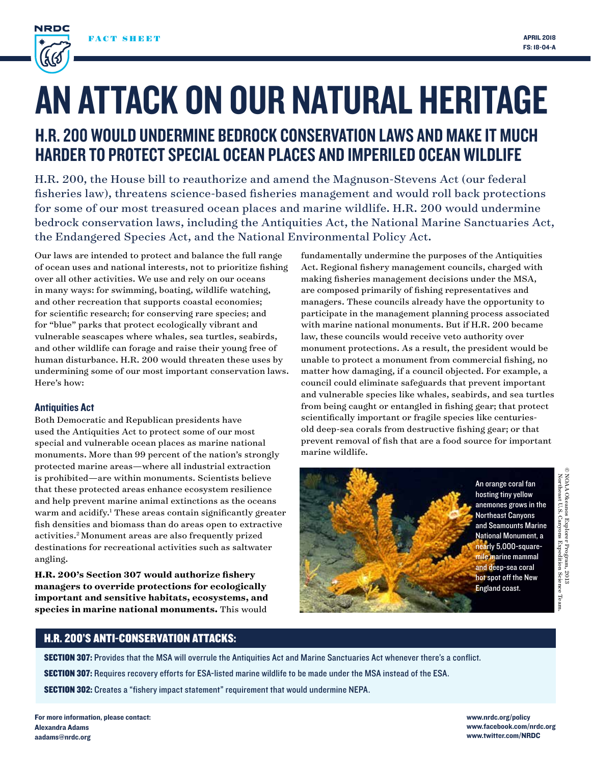

# AN ATTACK ON OUR NATURAL HERITAGE

# H.R. 200 WOULD UNDERMINE BEDROCK CONSERVATION LAWS AND MAKE IT MUCH HARDER TO PROTECT SPECIAL OCEAN PLACES AND IMPERILED OCEAN WILDLIFE

H.R. 200, the House bill to reauthorize and amend the Magnuson-Stevens Act (our federal fisheries law), threatens science-based fisheries management and would roll back protections for some of our most treasured ocean places and marine wildlife. H.R. 200 would undermine bedrock conservation laws, including the Antiquities Act, the National Marine Sanctuaries Act, the Endangered Species Act, and the National Environmental Policy Act.

Our laws are intended to protect and balance the full range of ocean uses and national interests, not to prioritize fishing over all other activities. We use and rely on our oceans in many ways: for swimming, boating, wildlife watching, and other recreation that supports coastal economies; for scientific research; for conserving rare species; and for "blue" parks that protect ecologically vibrant and vulnerable seascapes where whales, sea turtles, seabirds, and other wildlife can forage and raise their young free of human disturbance. H.R. 200 would threaten these uses by undermining some of our most important conservation laws. Here's how:

# Antiquities Act

Both Democratic and Republican presidents have used the Antiquities Act to protect some of our most special and vulnerable ocean places as marine national monuments. More than 99 percent of the nation's strongly protected marine areas—where all industrial extraction is prohibited—are within monuments. Scientists believe that these protected areas enhance ecosystem resilience and help prevent marine animal extinctions as the oceans warm and acidify.<sup>1</sup> These areas contain significantly greater fish densities and biomass than do areas open to extractive activities.2 Monument areas are also frequently prized destinations for recreational activities such as saltwater angling.

**H.R. 200's Section 307 would authorize fishery managers to override protections for ecologically important and sensitive habitats, ecosystems, and species in marine national monuments.** This would

fundamentally undermine the purposes of the Antiquities Act. Regional fishery management councils, charged with making fisheries management decisions under the MSA, are composed primarily of fishing representatives and managers. These councils already have the opportunity to participate in the management planning process associated with marine national monuments. But if H.R. 200 became law, these councils would receive veto authority over monument protections. As a result, the president would be unable to protect a monument from commercial fishing, no matter how damaging, if a council objected. For example, a council could eliminate safeguards that prevent important and vulnerable species like whales, seabirds, and sea turtles from being caught or entangled in fishing gear; that protect scientifically important or fragile species like centuriesold deep-sea corals from destructive fishing gear; or that prevent removal of fish that are a food source for important marine wildlife.



# H.R. 200'S ANTI-CONSERVATION ATTACKS:

SECTION 307: Provides that the MSA will overrule the Antiquities Act and Marine Sanctuaries Act whenever there's a conflict.

SECTION 307: Requires recovery efforts for ESA-listed marine wildlife to be made under the MSA instead of the ESA.

SECTION 302: Creates a "fishery impact statement" requirement that would undermine NEPA.

www.nrdc.org/policy www.facebook.com/nrdc.org www.twitter.com/NRDC

NOAA Okeanos Explorer Program, 2013